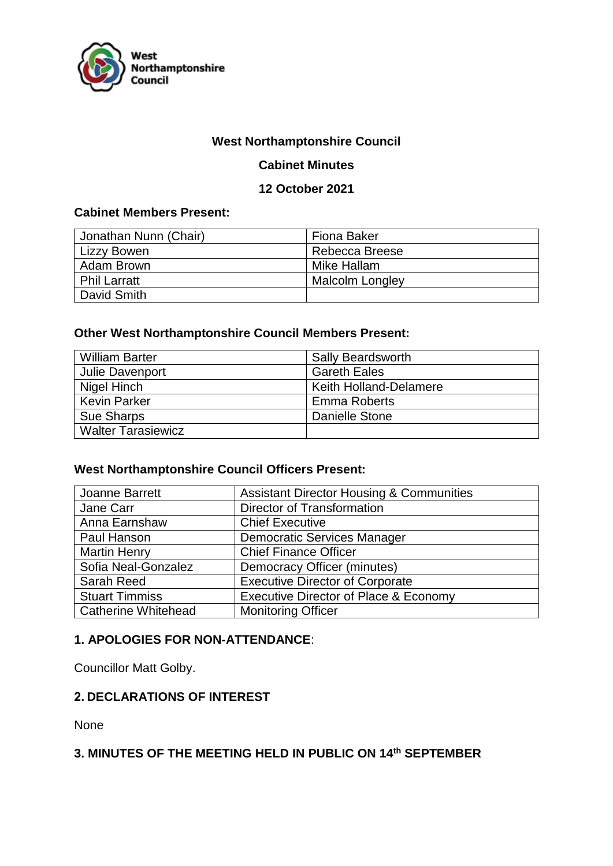

## **West Northamptonshire Council**

### **Cabinet Minutes**

#### **12 October 2021**

### **Cabinet Members Present:**

| Jonathan Nunn (Chair) | <b>Fiona Baker</b>     |
|-----------------------|------------------------|
| <b>Lizzy Bowen</b>    | Rebecca Breese         |
| Adam Brown            | Mike Hallam            |
| <b>Phil Larratt</b>   | <b>Malcolm Longley</b> |
| David Smith           |                        |

#### **Other West Northamptonshire Council Members Present:**

| <b>William Barter</b>     | <b>Sally Beardsworth</b>      |
|---------------------------|-------------------------------|
| Julie Davenport           | <b>Gareth Eales</b>           |
| Nigel Hinch               | <b>Keith Holland-Delamere</b> |
| <b>Kevin Parker</b>       | <b>Emma Roberts</b>           |
| <b>Sue Sharps</b>         | Danielle Stone                |
| <b>Walter Tarasiewicz</b> |                               |

# **West Northamptonshire Council Officers Present:**

| Joanne Barrett             | <b>Assistant Director Housing &amp; Communities</b> |
|----------------------------|-----------------------------------------------------|
| Jane Carr                  | <b>Director of Transformation</b>                   |
| Anna Earnshaw              | <b>Chief Executive</b>                              |
| Paul Hanson                | <b>Democratic Services Manager</b>                  |
| <b>Martin Henry</b>        | <b>Chief Finance Officer</b>                        |
| Sofia Neal-Gonzalez        | Democracy Officer (minutes)                         |
| Sarah Reed                 | <b>Executive Director of Corporate</b>              |
| <b>Stuart Timmiss</b>      | <b>Executive Director of Place &amp; Economy</b>    |
| <b>Catherine Whitehead</b> | <b>Monitoring Officer</b>                           |

#### **1. APOLOGIES FOR NON-ATTENDANCE**:

Councillor Matt Golby.

# **2. DECLARATIONS OF INTEREST**

None

# **3. MINUTES OF THE MEETING HELD IN PUBLIC ON 14th SEPTEMBER**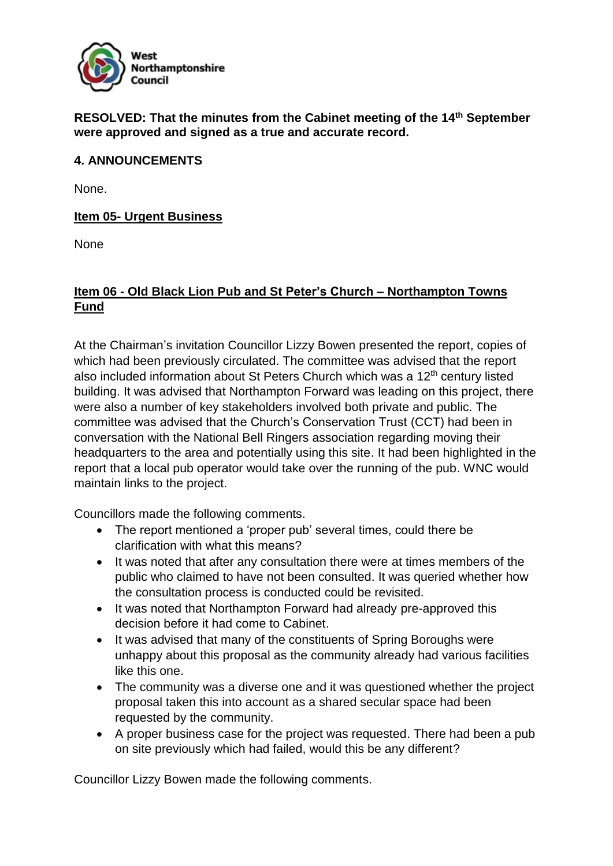

**RESOLVED: That the minutes from the Cabinet meeting of the 14th September were approved and signed as a true and accurate record.**

## **4. ANNOUNCEMENTS**

None.

## **Item 05- Urgent Business**

**None** 

## **Item 06 - Old Black Lion Pub and St Peter's Church – Northampton Towns Fund**

At the Chairman's invitation Councillor Lizzy Bowen presented the report, copies of which had been previously circulated. The committee was advised that the report also included information about St Peters Church which was a 12<sup>th</sup> century listed building. It was advised that Northampton Forward was leading on this project, there were also a number of key stakeholders involved both private and public. The committee was advised that the Church's Conservation Trust (CCT) had been in conversation with the National Bell Ringers association regarding moving their headquarters to the area and potentially using this site. It had been highlighted in the report that a local pub operator would take over the running of the pub. WNC would maintain links to the project.

Councillors made the following comments.

- The report mentioned a 'proper pub' several times, could there be clarification with what this means?
- It was noted that after any consultation there were at times members of the public who claimed to have not been consulted. It was queried whether how the consultation process is conducted could be revisited.
- It was noted that Northampton Forward had already pre-approved this decision before it had come to Cabinet.
- It was advised that many of the constituents of Spring Boroughs were unhappy about this proposal as the community already had various facilities like this one.
- The community was a diverse one and it was questioned whether the project proposal taken this into account as a shared secular space had been requested by the community.
- A proper business case for the project was requested. There had been a pub on site previously which had failed, would this be any different?

Councillor Lizzy Bowen made the following comments.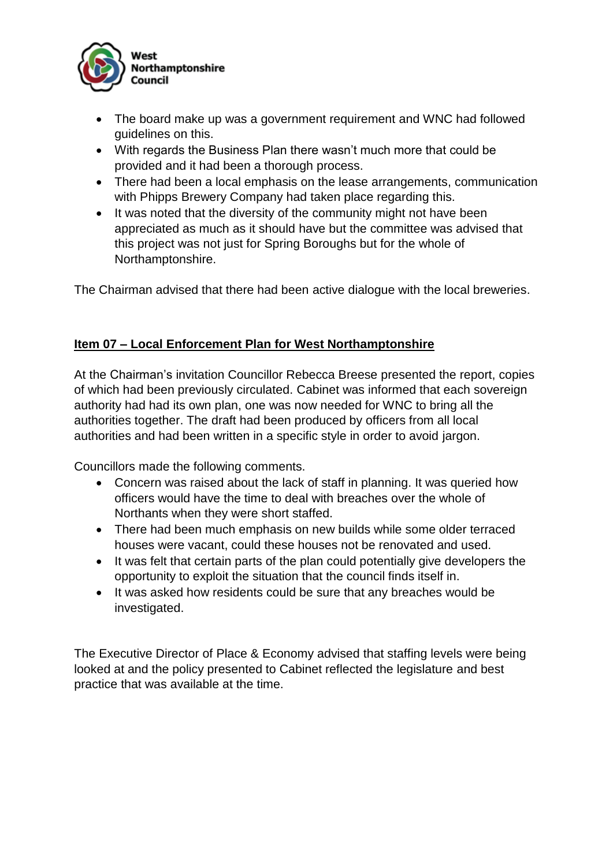

- The board make up was a government requirement and WNC had followed guidelines on this.
- With regards the Business Plan there wasn't much more that could be provided and it had been a thorough process.
- There had been a local emphasis on the lease arrangements, communication with Phipps Brewery Company had taken place regarding this.
- It was noted that the diversity of the community might not have been appreciated as much as it should have but the committee was advised that this project was not just for Spring Boroughs but for the whole of Northamptonshire.

The Chairman advised that there had been active dialogue with the local breweries.

# **Item 07 – Local Enforcement Plan for West Northamptonshire**

At the Chairman's invitation Councillor Rebecca Breese presented the report, copies of which had been previously circulated. Cabinet was informed that each sovereign authority had had its own plan, one was now needed for WNC to bring all the authorities together. The draft had been produced by officers from all local authorities and had been written in a specific style in order to avoid jargon.

Councillors made the following comments.

- Concern was raised about the lack of staff in planning. It was queried how officers would have the time to deal with breaches over the whole of Northants when they were short staffed.
- There had been much emphasis on new builds while some older terraced houses were vacant, could these houses not be renovated and used.
- It was felt that certain parts of the plan could potentially give developers the opportunity to exploit the situation that the council finds itself in.
- It was asked how residents could be sure that any breaches would be investigated.

The Executive Director of Place & Economy advised that staffing levels were being looked at and the policy presented to Cabinet reflected the legislature and best practice that was available at the time.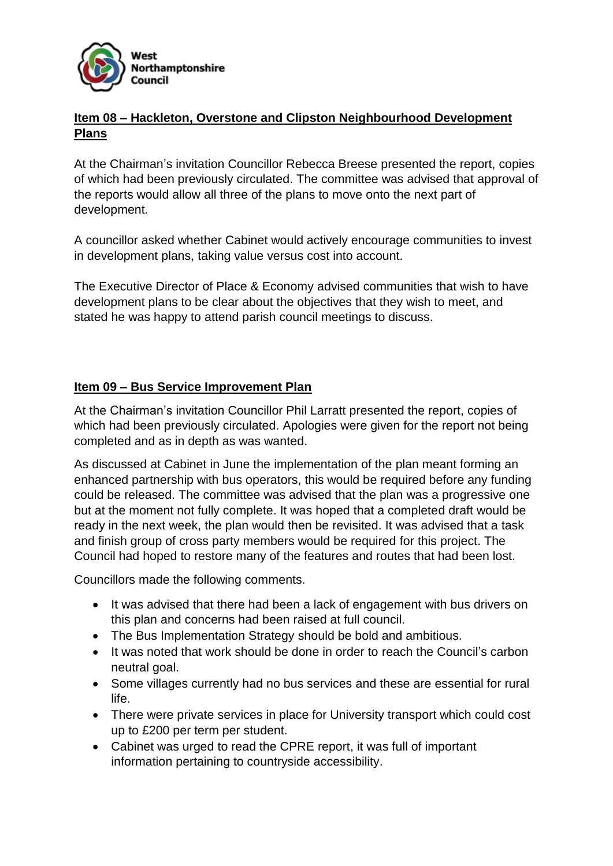

# **Item 08 – Hackleton, Overstone and Clipston Neighbourhood Development Plans**

At the Chairman's invitation Councillor Rebecca Breese presented the report, copies of which had been previously circulated. The committee was advised that approval of the reports would allow all three of the plans to move onto the next part of development.

A councillor asked whether Cabinet would actively encourage communities to invest in development plans, taking value versus cost into account.

The Executive Director of Place & Economy advised communities that wish to have development plans to be clear about the objectives that they wish to meet, and stated he was happy to attend parish council meetings to discuss.

# **Item 09 – Bus Service Improvement Plan**

At the Chairman's invitation Councillor Phil Larratt presented the report, copies of which had been previously circulated. Apologies were given for the report not being completed and as in depth as was wanted.

As discussed at Cabinet in June the implementation of the plan meant forming an enhanced partnership with bus operators, this would be required before any funding could be released. The committee was advised that the plan was a progressive one but at the moment not fully complete. It was hoped that a completed draft would be ready in the next week, the plan would then be revisited. It was advised that a task and finish group of cross party members would be required for this project. The Council had hoped to restore many of the features and routes that had been lost.

Councillors made the following comments.

- It was advised that there had been a lack of engagement with bus drivers on this plan and concerns had been raised at full council.
- The Bus Implementation Strategy should be bold and ambitious.
- It was noted that work should be done in order to reach the Council's carbon neutral goal.
- Some villages currently had no bus services and these are essential for rural life.
- There were private services in place for University transport which could cost up to £200 per term per student.
- Cabinet was urged to read the CPRE report, it was full of important information pertaining to countryside accessibility.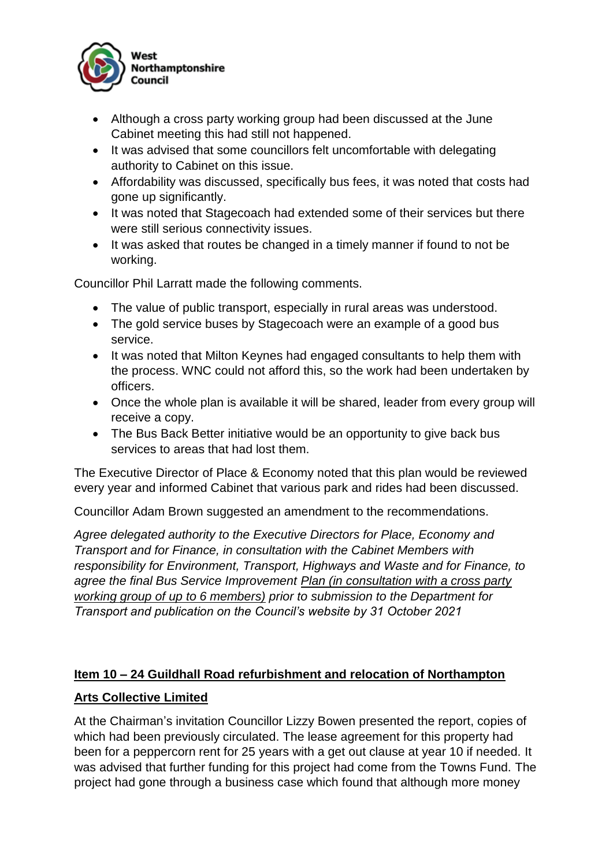

- Although a cross party working group had been discussed at the June Cabinet meeting this had still not happened.
- It was advised that some councillors felt uncomfortable with delegating authority to Cabinet on this issue.
- Affordability was discussed, specifically bus fees, it was noted that costs had gone up significantly.
- It was noted that Stagecoach had extended some of their services but there were still serious connectivity issues.
- It was asked that routes be changed in a timely manner if found to not be working.

Councillor Phil Larratt made the following comments.

- The value of public transport, especially in rural areas was understood.
- The gold service buses by Stagecoach were an example of a good bus service.
- It was noted that Milton Keynes had engaged consultants to help them with the process. WNC could not afford this, so the work had been undertaken by officers.
- Once the whole plan is available it will be shared, leader from every group will receive a copy.
- The Bus Back Better initiative would be an opportunity to give back bus services to areas that had lost them.

The Executive Director of Place & Economy noted that this plan would be reviewed every year and informed Cabinet that various park and rides had been discussed.

Councillor Adam Brown suggested an amendment to the recommendations.

*Agree delegated authority to the Executive Directors for Place, Economy and Transport and for Finance, in consultation with the Cabinet Members with responsibility for Environment, Transport, Highways and Waste and for Finance, to agree the final Bus Service Improvement Plan (in consultation with a cross party working group of up to 6 members) prior to submission to the Department for Transport and publication on the Council's website by 31 October 2021*

# **Item 10 – 24 Guildhall Road refurbishment and relocation of Northampton**

# **Arts Collective Limited**

At the Chairman's invitation Councillor Lizzy Bowen presented the report, copies of which had been previously circulated. The lease agreement for this property had been for a peppercorn rent for 25 years with a get out clause at year 10 if needed. It was advised that further funding for this project had come from the Towns Fund. The project had gone through a business case which found that although more money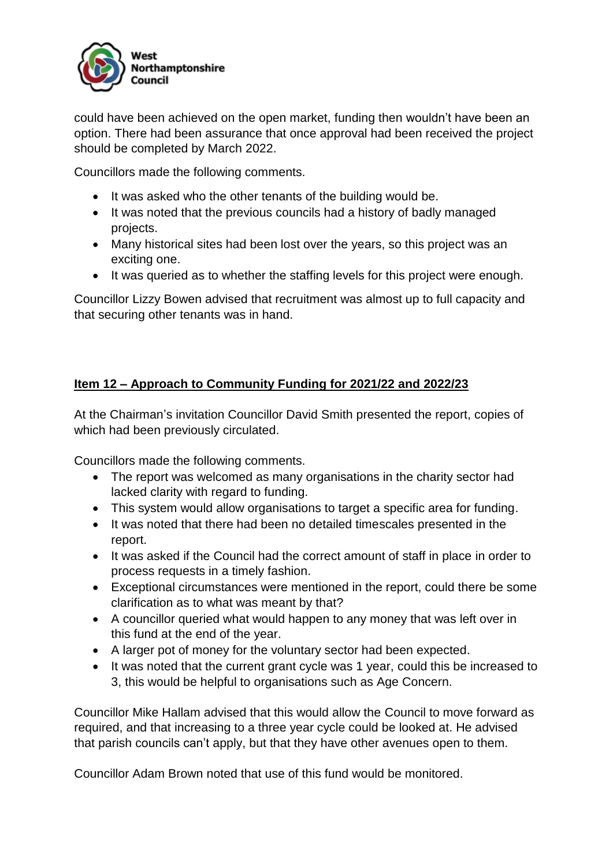

could have been achieved on the open market, funding then wouldn't have been an option. There had been assurance that once approval had been received the project should be completed by March 2022.

Councillors made the following comments.

- It was asked who the other tenants of the building would be.
- It was noted that the previous councils had a history of badly managed projects.
- Many historical sites had been lost over the years, so this project was an exciting one.
- It was queried as to whether the staffing levels for this project were enough.

Councillor Lizzy Bowen advised that recruitment was almost up to full capacity and that securing other tenants was in hand.

# **Item 12 – Approach to Community Funding for 2021/22 and 2022/23**

At the Chairman's invitation Councillor David Smith presented the report, copies of which had been previously circulated.

Councillors made the following comments.

- The report was welcomed as many organisations in the charity sector had lacked clarity with regard to funding.
- This system would allow organisations to target a specific area for funding.
- It was noted that there had been no detailed timescales presented in the report.
- It was asked if the Council had the correct amount of staff in place in order to process requests in a timely fashion.
- Exceptional circumstances were mentioned in the report, could there be some clarification as to what was meant by that?
- A councillor queried what would happen to any money that was left over in this fund at the end of the year.
- A larger pot of money for the voluntary sector had been expected.
- It was noted that the current grant cycle was 1 year, could this be increased to 3, this would be helpful to organisations such as Age Concern.

Councillor Mike Hallam advised that this would allow the Council to move forward as required, and that increasing to a three year cycle could be looked at. He advised that parish councils can't apply, but that they have other avenues open to them.

Councillor Adam Brown noted that use of this fund would be monitored.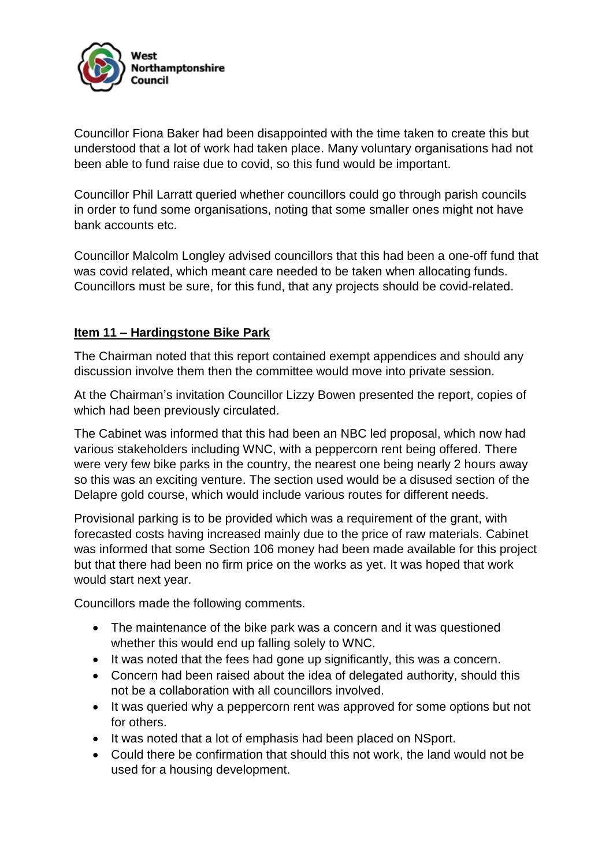

Councillor Fiona Baker had been disappointed with the time taken to create this but understood that a lot of work had taken place. Many voluntary organisations had not been able to fund raise due to covid, so this fund would be important.

Councillor Phil Larratt queried whether councillors could go through parish councils in order to fund some organisations, noting that some smaller ones might not have bank accounts etc.

Councillor Malcolm Longley advised councillors that this had been a one-off fund that was covid related, which meant care needed to be taken when allocating funds. Councillors must be sure, for this fund, that any projects should be covid-related.

# **Item 11 – Hardingstone Bike Park**

The Chairman noted that this report contained exempt appendices and should any discussion involve them then the committee would move into private session.

At the Chairman's invitation Councillor Lizzy Bowen presented the report, copies of which had been previously circulated.

The Cabinet was informed that this had been an NBC led proposal, which now had various stakeholders including WNC, with a peppercorn rent being offered. There were very few bike parks in the country, the nearest one being nearly 2 hours away so this was an exciting venture. The section used would be a disused section of the Delapre gold course, which would include various routes for different needs.

Provisional parking is to be provided which was a requirement of the grant, with forecasted costs having increased mainly due to the price of raw materials. Cabinet was informed that some Section 106 money had been made available for this project but that there had been no firm price on the works as yet. It was hoped that work would start next year.

Councillors made the following comments.

- The maintenance of the bike park was a concern and it was questioned whether this would end up falling solely to WNC.
- It was noted that the fees had gone up significantly, this was a concern.
- Concern had been raised about the idea of delegated authority, should this not be a collaboration with all councillors involved.
- It was queried why a peppercorn rent was approved for some options but not for others.
- It was noted that a lot of emphasis had been placed on NSport.
- Could there be confirmation that should this not work, the land would not be used for a housing development.